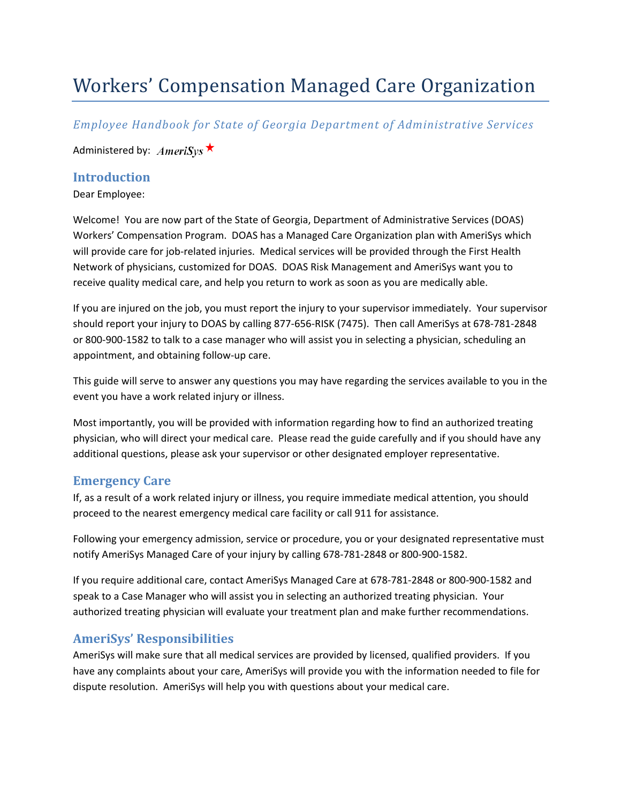# Workers' Compensation Managed Care Organization

*Employee Handbook for State of Georgia Department of Administrative Services*

Administered by:  $AmeriSys \star$ 

#### **Introduction**

Dear Employee:

Welcome! You are now part of the State of Georgia, Department of Administrative Services (DOAS) Workers' Compensation Program. DOAS has a Managed Care Organization plan with AmeriSys which will provide care for job-related injuries. Medical services will be provided through the First Health Network of physicians, customized for DOAS. DOAS Risk Management and AmeriSys want you to receive quality medical care, and help you return to work as soon as you are medically able.

If you are injured on the job, you must report the injury to your supervisor immediately. Your supervisor should report your injury to DOAS by calling 877‐656‐RISK (7475). Then call AmeriSys at 678‐781‐2848 or 800‐900‐1582 to talk to a case manager who will assist you in selecting a physician, scheduling an appointment, and obtaining follow‐up care.

This guide will serve to answer any questions you may have regarding the services available to you in the event you have a work related injury or illness.

Most importantly, you will be provided with information regarding how to find an authorized treating physician, who will direct your medical care. Please read the guide carefully and if you should have any additional questions, please ask your supervisor or other designated employer representative.

# **Emergency Care**

If, as a result of a work related injury or illness, you require immediate medical attention, you should proceed to the nearest emergency medical care facility or call 911 for assistance.

Following your emergency admission, service or procedure, you or your designated representative must notify AmeriSys Managed Care of your injury by calling 678‐781‐2848 or 800‐900‐1582.

If you require additional care, contact AmeriSys Managed Care at 678‐781‐2848 or 800‐900‐1582 and speak to a Case Manager who will assist you in selecting an authorized treating physician. Your authorized treating physician will evaluate your treatment plan and make further recommendations.

# **AmeriSys' Responsibilities**

AmeriSys will make sure that all medical services are provided by licensed, qualified providers. If you have any complaints about your care, AmeriSys will provide you with the information needed to file for dispute resolution. AmeriSys will help you with questions about your medical care.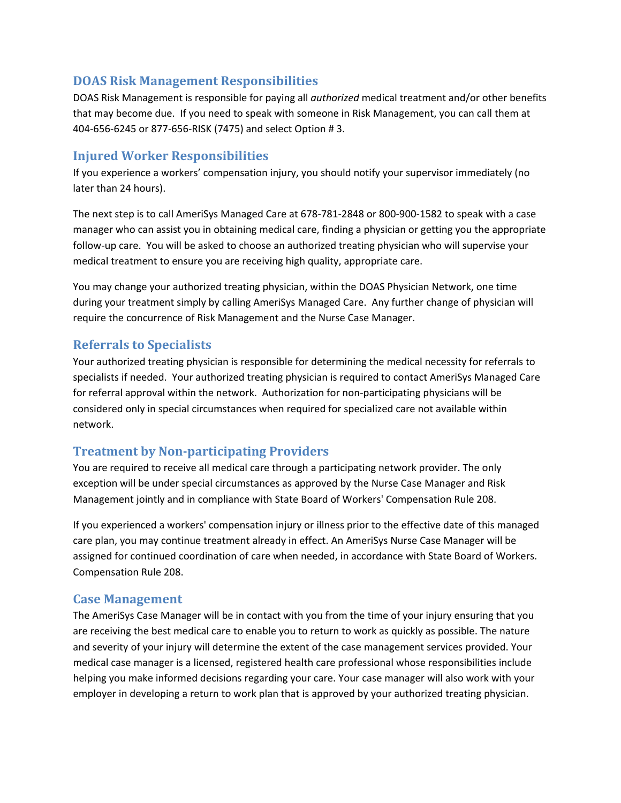## **DOAS Risk Management Responsibilities**

DOAS Risk Management is responsible for paying all *authorized* medical treatment and/or other benefits that may become due. If you need to speak with someone in Risk Management, you can call them at 404‐656‐6245 or 877‐656‐RISK (7475) and select Option # 3.

## **Injured Worker Responsibilities**

If you experience a workers' compensation injury, you should notify your supervisor immediately (no later than 24 hours).

The next step is to call AmeriSys Managed Care at 678‐781‐2848 or 800‐900‐1582 to speak with a case manager who can assist you in obtaining medical care, finding a physician or getting you the appropriate follow‐up care. You will be asked to choose an authorized treating physician who will supervise your medical treatment to ensure you are receiving high quality, appropriate care.

You may change your authorized treating physician, within the DOAS Physician Network, one time during your treatment simply by calling AmeriSys Managed Care. Any further change of physician will require the concurrence of Risk Management and the Nurse Case Manager.

#### **Referrals to Specialists**

Your authorized treating physician is responsible for determining the medical necessity for referrals to specialists if needed. Your authorized treating physician is required to contact AmeriSys Managed Care for referral approval within the network. Authorization for non-participating physicians will be considered only in special circumstances when required for specialized care not available within network.

# **Treatment by Nonparticipating Providers**

You are required to receive all medical care through a participating network provider. The only exception will be under special circumstances as approved by the Nurse Case Manager and Risk Management jointly and in compliance with State Board of Workers' Compensation Rule 208.

If you experienced a workers' compensation injury or illness prior to the effective date of this managed care plan, you may continue treatment already in effect. An AmeriSys Nurse Case Manager will be assigned for continued coordination of care when needed, in accordance with State Board of Workers. Compensation Rule 208.

# **Case Management**

The AmeriSys Case Manager will be in contact with you from the time of your injury ensuring that you are receiving the best medical care to enable you to return to work as quickly as possible. The nature and severity of your injury will determine the extent of the case management services provided. Your medical case manager is a licensed, registered health care professional whose responsibilities include helping you make informed decisions regarding your care. Your case manager will also work with your employer in developing a return to work plan that is approved by your authorized treating physician.